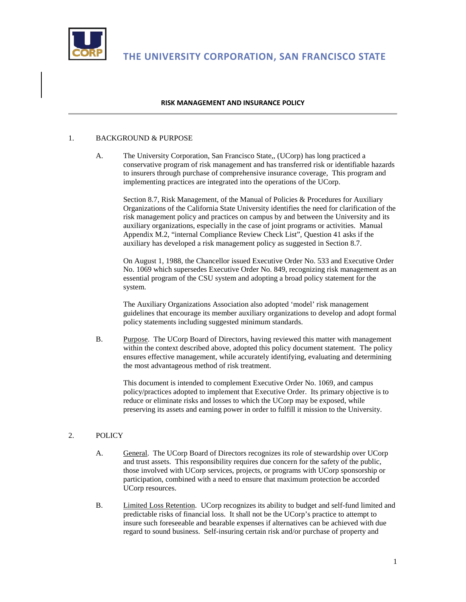

**THE UNIVERSITY CORPORATION, SAN FRANCISCO STATE**

## **RISK MANAGEMENT AND INSURANCE POLICY**

## 1. BACKGROUND & PURPOSE

A. The University Corporation, San Francisco State,, (UCorp) has long practiced a conservative program of risk management and has transferred risk or identifiable hazards to insurers through purchase of comprehensive insurance coverage, This program and implementing practices are integrated into the operations of the UCorp.

Section 8.7, Risk Management, of the Manual of Policies & Procedures for Auxiliary Organizations of the California State University identifies the need for clarification of the risk management policy and practices on campus by and between the University and its auxiliary organizations, especially in the case of joint programs or activities. Manual Appendix M.2, "internal Compliance Review Check List", Question 41 asks if the auxiliary has developed a risk management policy as suggested in Section 8.7.

On August 1, 1988, the Chancellor issued Executive Order No. 533 and Executive Order No. 1069 which supersedes Executive Order No. 849, recognizing risk management as an essential program of the CSU system and adopting a broad policy statement for the system.

The Auxiliary Organizations Association also adopted 'model' risk management guidelines that encourage its member auxiliary organizations to develop and adopt formal policy statements including suggested minimum standards.

B. Purpose. The UCorp Board of Directors, having reviewed this matter with management within the context described above, adopted this policy document statement. The policy ensures effective management, while accurately identifying, evaluating and determining the most advantageous method of risk treatment.

This document is intended to complement Executive Order No. 1069, and campus policy/practices adopted to implement that Executive Order. Its primary objective is to reduce or eliminate risks and losses to which the UCorp may be exposed, while preserving its assets and earning power in order to fulfill it mission to the University.

## 2. POLICY

- A. General. The UCorp Board of Directors recognizes its role of stewardship over UCorp and trust assets. This responsibility requires due concern for the safety of the public, those involved with UCorp services, projects, or programs with UCorp sponsorship or participation, combined with a need to ensure that maximum protection be accorded UCorp resources.
- B. Limited Loss Retention. UCorp recognizes its ability to budget and self-fund limited and predictable risks of financial loss. It shall not be the UCorp's practice to attempt to insure such foreseeable and bearable expenses if alternatives can be achieved with due regard to sound business. Self-insuring certain risk and/or purchase of property and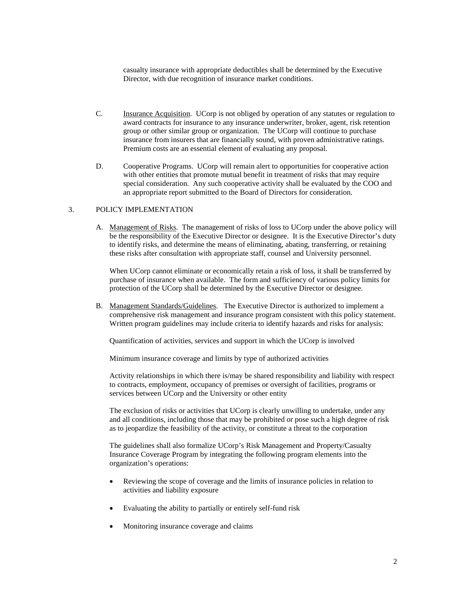casualty insurance with appropriate deductibles shall be determined by the Executive Director, with due recognition of insurance market conditions.

- C. Insurance Acquisition. UCorp is not obliged by operation of any statutes or regulation to award contracts for insurance to any insurance underwriter, broker, agent, risk retention group or other similar group or organization. The UCorp will continue to purchase insurance from insurers that are financially sound, with proven administrative ratings. Premium costs are an essential element of evaluating any proposal.
- D. Cooperative Programs. UCorp will remain alert to opportunities for cooperative action with other entities that promote mutual benefit in treatment of risks that may require special consideration. Any such cooperative activity shall be evaluated by the COO and an appropriate report submitted to the Board of Directors for consideration.

## 3. POLICY IMPLEMENTATION

A. Management of Risks. The management of risks of loss to UCorp under the above policy will be the responsibility of the Executive Director or designee. It is the Executive Director's duty to identify risks, and determine the means of eliminating, abating, transferring, or retaining these risks after consultation with appropriate staff, counsel and University personnel.

When UCorp cannot eliminate or economically retain a risk of loss, it shall be transferred by purchase of insurance when available. The form and sufficiency of various policy limits for protection of the UCorp shall be determined by the Executive Director or designee.

B. Management Standards/Guidelines. The Executive Director is authorized to implement a comprehensive risk management and insurance program consistent with this policy statement. Written program guidelines may include criteria to identify hazards and risks for analysis:

Quantification of activities, services and support in which the UCorp is involved

Minimum insurance coverage and limits by type of authorized activities

Activity relationships in which there is/may be shared responsibility and liability with respect to contracts, employment, occupancy of premises or oversight of facilities, programs or services between UCorp and the University or other entity

The exclusion of risks or activities that UCorp is clearly unwilling to undertake, under any and all conditions, including those that may be prohibited or pose such a high degree of risk as to jeopardize the feasibility of the activity, or constitute a threat to the corporation

The guidelines shall also formalize UCorp's Risk Management and Property/Casualty Insurance Coverage Program by integrating the following program elements into the organization's operations:

- Reviewing the scope of coverage and the limits of insurance policies in relation to activities and liability exposure
- Evaluating the ability to partially or entirely self-fund risk
- Monitoring insurance coverage and claims